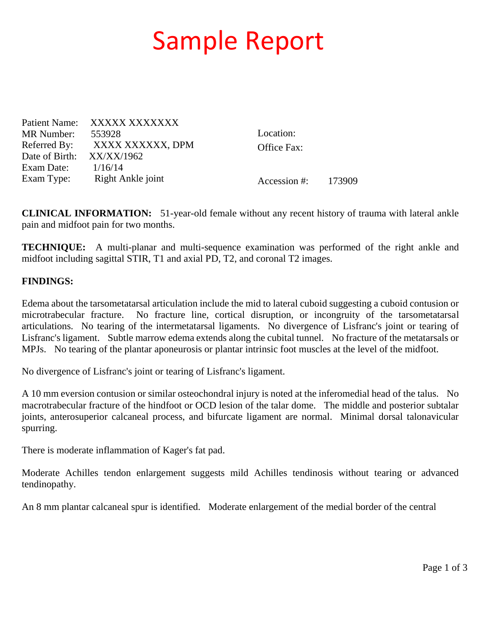## Sample Report

Patient Name: XXXXX XXXXXXX MR Number: 553928 Referred By: XXXX XXXXXX, DPM Date of Birth: XX/XX/1962 Exam Date: 1/16/14 Exam Type: Right Ankle joint

Location: Office Fax:

Accession #: 173909

**CLINICAL INFORMATION:** 51-year-old female without any recent history of trauma with lateral ankle pain and midfoot pain for two months.

**TECHNIQUE:** A multi-planar and multi-sequence examination was performed of the right ankle and midfoot including sagittal STIR, T1 and axial PD, T2, and coronal T2 images.

## **FINDINGS:**

Edema about the tarsometatarsal articulation include the mid to lateral cuboid suggesting a cuboid contusion or microtrabecular fracture. No fracture line, cortical disruption, or incongruity of the tarsometatarsal articulations. No tearing of the intermetatarsal ligaments. No divergence of Lisfranc's joint or tearing of Lisfranc's ligament. Subtle marrow edema extends along the cubital tunnel. No fracture of the metatarsals or MPJs. No tearing of the plantar aponeurosis or plantar intrinsic foot muscles at the level of the midfoot.

No divergence of Lisfranc's joint or tearing of Lisfranc's ligament.

A 10 mm eversion contusion or similar osteochondral injury is noted at the inferomedial head of the talus. No macrotrabecular fracture of the hindfoot or OCD lesion of the talar dome. The middle and posterior subtalar joints, anterosuperior calcaneal process, and bifurcate ligament are normal. Minimal dorsal talonavicular spurring.

There is moderate inflammation of Kager's fat pad.

Moderate Achilles tendon enlargement suggests mild Achilles tendinosis without tearing or advanced tendinopathy.

An 8 mm plantar calcaneal spur is identified. Moderate enlargement of the medial border of the central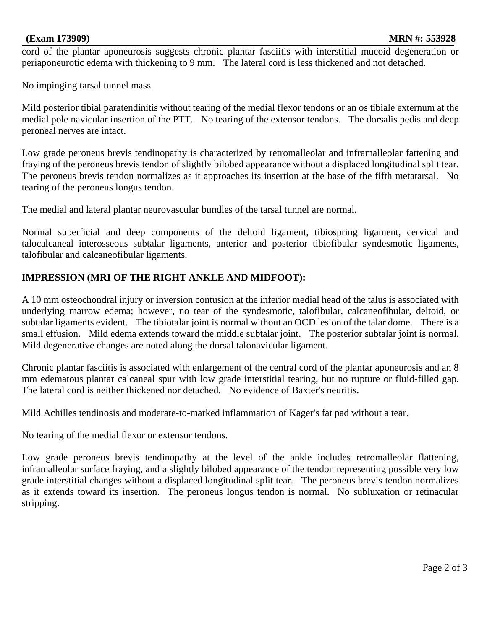cord of the plantar aponeurosis suggests chronic plantar fasciitis with interstitial mucoid degeneration or periaponeurotic edema with thickening to 9 mm. The lateral cord is less thickened and not detached.

No impinging tarsal tunnel mass.

Mild posterior tibial paratendinitis without tearing of the medial flexor tendons or an os tibiale externum at the medial pole navicular insertion of the PTT. No tearing of the extensor tendons. The dorsalis pedis and deep peroneal nerves are intact.

Low grade peroneus brevis tendinopathy is characterized by retromalleolar and inframalleolar fattening and fraying of the peroneus brevis tendon of slightly bilobed appearance without a displaced longitudinal split tear. The peroneus brevis tendon normalizes as it approaches its insertion at the base of the fifth metatarsal. No tearing of the peroneus longus tendon.

The medial and lateral plantar neurovascular bundles of the tarsal tunnel are normal.

Normal superficial and deep components of the deltoid ligament, tibiospring ligament, cervical and talocalcaneal interosseous subtalar ligaments, anterior and posterior tibiofibular syndesmotic ligaments, talofibular and calcaneofibular ligaments.

## **IMPRESSION (MRI OF THE RIGHT ANKLE AND MIDFOOT):**

A 10 mm osteochondral injury or inversion contusion at the inferior medial head of the talus is associated with underlying marrow edema; however, no tear of the syndesmotic, talofibular, calcaneofibular, deltoid, or subtalar ligaments evident. The tibiotalar joint is normal without an OCD lesion of the talar dome. There is a small effusion. Mild edema extends toward the middle subtalar joint. The posterior subtalar joint is normal. Mild degenerative changes are noted along the dorsal talonavicular ligament.

Chronic plantar fasciitis is associated with enlargement of the central cord of the plantar aponeurosis and an 8 mm edematous plantar calcaneal spur with low grade interstitial tearing, but no rupture or fluid-filled gap. The lateral cord is neither thickened nor detached. No evidence of Baxter's neuritis.

Mild Achilles tendinosis and moderate-to-marked inflammation of Kager's fat pad without a tear.

No tearing of the medial flexor or extensor tendons.

Low grade peroneus brevis tendinopathy at the level of the ankle includes retromalleolar flattening, inframalleolar surface fraying, and a slightly bilobed appearance of the tendon representing possible very low grade interstitial changes without a displaced longitudinal split tear. The peroneus brevis tendon normalizes as it extends toward its insertion. The peroneus longus tendon is normal. No subluxation or retinacular stripping.